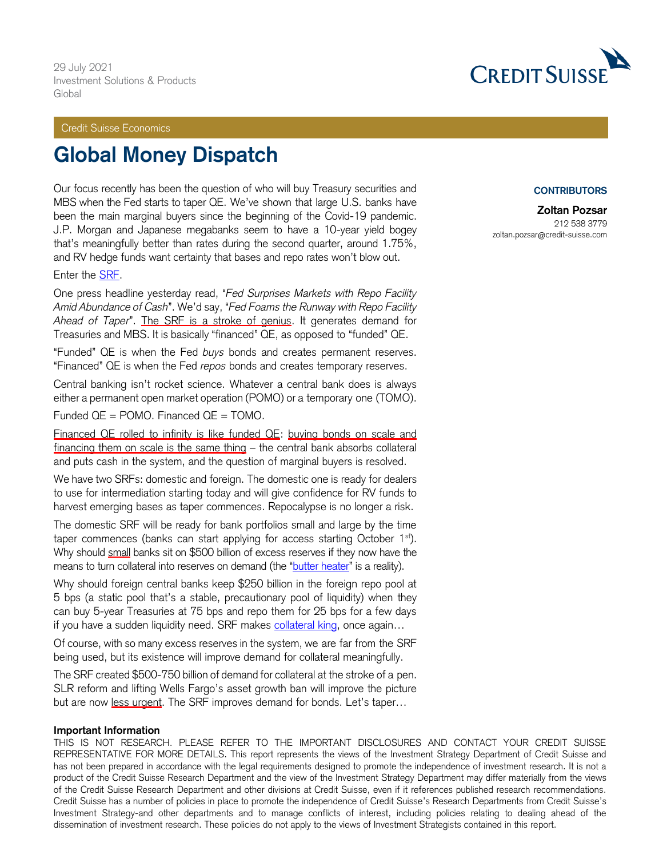Credit Suisse Economics

# **Global Money Dispatch**

Our focus recently has been the question of who will buy Treasury securities and MBS when the Fed starts to taper QE. We've shown that large U.S. banks have been the main marginal buyers since the beginning of the Covid-19 pandemic. J.P. Morgan and Japanese megabanks seem to have a 10-year yield bogey that's meaningfully better than rates during the second quarter, around 1.75%, and RV hedge funds want certainty that bases and repo rates won't blow out.

Enter the [SRF.](https://www.federalreserve.gov/newsevents/pressreleases/monetary20210728b.htm)

One press headline yesterday read, "*Fed Surprises Markets with Repo Facility Amid Abundance of Cash*". We'd say, "*Fed Foams the Runway with Repo Facility Ahead of Taper*". The SRF is a stroke of genius. It generates demand for Treasuries and MBS. It is basically "financed" QE, as opposed to "funded" QE.

"Funded" QE is when the Fed *buys* bonds and creates permanent reserves. "Financed" QE is when the Fed *repos* bonds and creates temporary reserves.

Central banking isn't rocket science. Whatever a central bank does is always either a permanent open market operation (POMO) or a temporary one (TOMO).

Funded  $QE = POMO$ . Financed  $QE = TOMO$ .

Financed QE rolled to infinity is like funded QE: buying bonds on scale and financing them on scale is the same thing – the central bank absorbs collateral and puts cash in the system, and the question of marginal buyers is resolved.

We have two SRFs: domestic and foreign. The domestic one is ready for dealers to use for intermediation starting today and will give confidence for RV funds to harvest emerging bases as taper commences. Repocalypse is no longer a risk.

The domestic SRF will be ready for bank portfolios small and large by the time taper commences (banks can start applying for access starting October 1<sup>st</sup>). Why should small banks sit on \$500 billion of excess reserves if they now have the means to turn collateral into reserves on demand (the "[butter heater](https://plus.credit-suisse.com/rpc4/ravDocView?docid=V7istR2AN-Ytr5)" is a reality).

Why should foreign central banks keep \$250 billion in the foreign repo pool at 5 bps (a static pool that's a stable, precautionary pool of liquidity) when they can buy 5-year Treasuries at 75 bps and repo them for 25 bps for a few days if you have a sudden liquidity need. SRF makes [collateral king](https://plus.credit-suisse.com/rpc4/ravDocView?docid=F3ARb1), once again...

Of course, with so many excess reserves in the system, we are far from the SRF being used, but its existence will improve demand for collateral meaningfully.

The SRF created \$500-750 billion of demand for collateral at the stroke of a pen. SLR reform and lifting Wells Fargo's asset growth ban will improve the picture but are now less urgent. The SRF improves demand for bonds. Let's taper...

#### **Important Information**

THIS IS NOT RESEARCH. PLEASE REFER TO THE IMPORTANT DISCLOSURES AND CONTACT YOUR CREDIT SUISSE REPRESENTATIVE FOR MORE DETAILS. This report represents the views of the Investment Strategy Department of Credit Suisse and has not been prepared in accordance with the legal requirements designed to promote the independence of investment research. It is not a product of the Credit Suisse Research Department and the view of the Investment Strategy Department may differ materially from the views of the Credit Suisse Research Department and other divisions at Credit Suisse, even if it references published research recommendations. Credit Suisse has a number of policies in place to promote the independence of Credit Suisse's Research Departments from Credit Suisse's Investment Strategy-and other departments and to manage conflicts of interest, including policies relating to dealing ahead of the dissemination of investment research. These policies do not apply to the views of Investment Strategists contained in this report.



#### **CONTRIBUTORS**

**Zoltan Pozsar** 212 538 3779 zoltan.pozsar@credit-suisse.com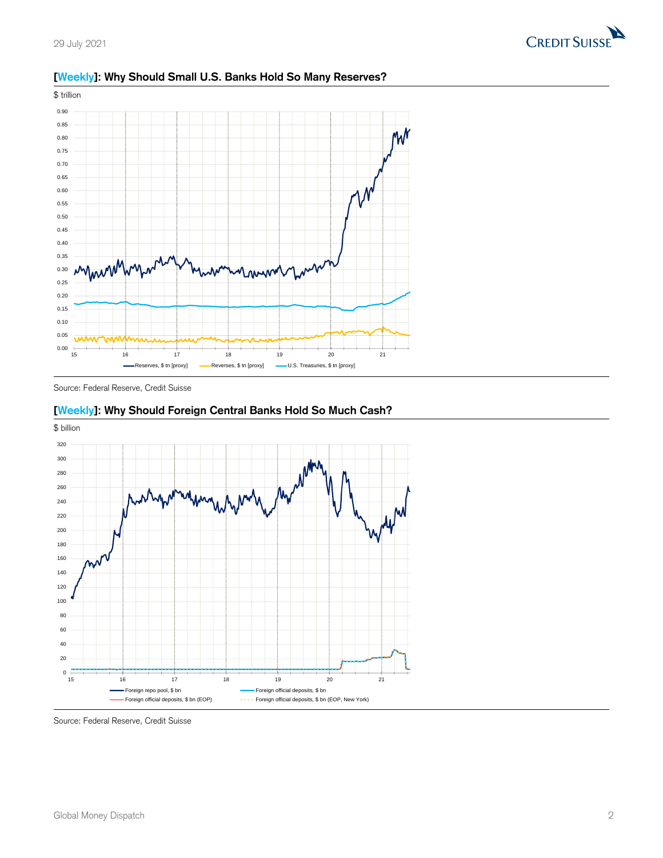



### **[Weekly]: Why Should Small U.S. Banks Hold So Many Reserves?**

Source: Federal Reserve, Credit Suisse



## **[Weekly]: Why Should Foreign Central Banks Hold So Much Cash?**

Source: Federal Reserve, Credit Suisse